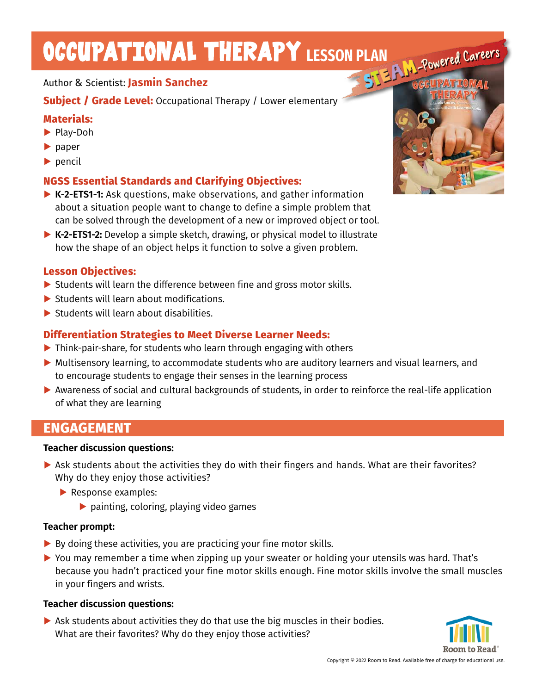# OCCUPATIONAL THERAPY LESSON PLAN<br>Author & Scientist: Lacmin Concile

### Author & Scientist: **Jasmin Sanchez**

**Subject / Grade Level:** Occupational Therapy / Lower elementary

## **Materials:**

- **▶** Play-Doh
- **▶** paper
- **▶** pencil

## **NGSS Essential Standards and Clarifying Objectives:**

- **▶ K-2-ETS1-1:** Ask questions, make observations, and gather information about a situation people want to change to define a simple problem that can be solved through the development of a new or improved object or tool.
- **▶ K-2-ETS1-2:** Develop a simple sketch, drawing, or physical model to illustrate how the shape of an object helps it function to solve a given problem.

#### **Lesson Objectives:**

- **▶** Students will learn the difference between fine and gross motor skills.
- ▶ Students will learn about modifications.
- ▶ Students will learn about disabilities.

## **Differentiation Strategies to Meet Diverse Learner Needs:**

- **▶** Think-pair-share, for students who learn through engaging with others
- ▶ Multisensory learning, to accommodate students who are auditory learners and visual learners, and to encourage students to engage their senses in the learning process
- **▶** Awareness of social and cultural backgrounds of students, in order to reinforce the real-life application of what they are learning

## **ENGAGEMENT**

#### **Teacher discussion questions:**

- **▶** Ask students about the activities they do with their fingers and hands. What are their favorites? Why do they enjoy those activities?
	- **▶** Response examples:
		- **▶** painting, coloring, playing video games

#### **Teacher prompt:**

- **▶** By doing these activities, you are practicing your fine motor skills.
- ▶ You may remember a time when zipping up your sweater or holding your utensils was hard. That's because you hadn't practiced your fine motor skills enough. Fine motor skills involve the small muscles in your fingers and wrists.

#### **Teacher discussion questions:**

**▶** Ask students about activities they do that use the big muscles in their bodies. What are their favorites? Why do they enjoy those activities?



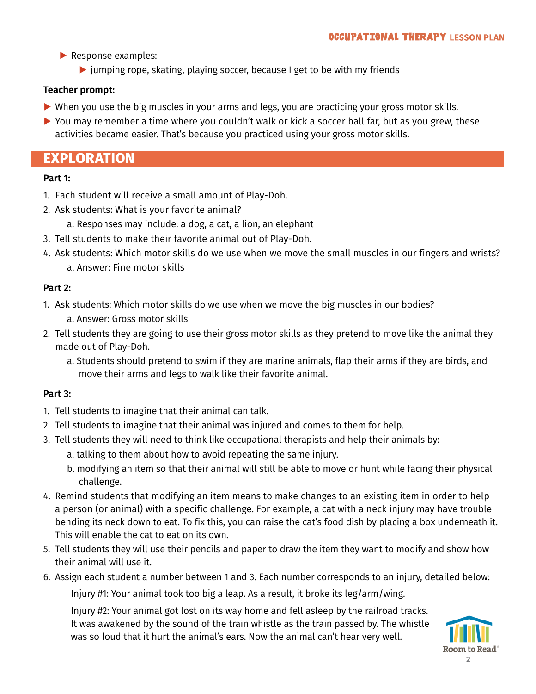- **▶** Response examples:
	- **▶** jumping rope, skating, playing soccer, because I get to be with my friends

#### **Teacher prompt:**

- ▶ When you use the big muscles in your arms and legs, you are practicing your gross motor skills.
- ▶ You may remember a time where you couldn't walk or kick a soccer ball far, but as you grew, these activities became easier. That's because you practiced using your gross motor skills.

# **EXPLORATION**

#### **Part 1:**

- 1. Each student will receive a small amount of Play-Doh.
- 2. Ask students: What is your favorite animal?
	- a. Responses may include: a dog, a cat, a lion, an elephant
- 3. Tell students to make their favorite animal out of Play-Doh.
- 4. Ask students: Which motor skills do we use when we move the small muscles in our fingers and wrists? a. Answer: Fine motor skills

#### **Part 2:**

- 1. Ask students: Which motor skills do we use when we move the big muscles in our bodies?
	- a. Answer: Gross motor skills
- 2. Tell students they are going to use their gross motor skills as they pretend to move like the animal they made out of Play-Doh.
	- a. Students should pretend to swim if they are marine animals, flap their arms if they are birds, and move their arms and legs to walk like their favorite animal.

#### **Part 3:**

- 1. Tell students to imagine that their animal can talk.
- 2. Tell students to imagine that their animal was injured and comes to them for help.
- 3. Tell students they will need to think like occupational therapists and help their animals by:
	- a. talking to them about how to avoid repeating the same injury.
	- b. modifying an item so that their animal will still be able to move or hunt while facing their physical challenge.
- 4. Remind students that modifying an item means to make changes to an existing item in order to help a person (or animal) with a specific challenge. For example, a cat with a neck injury may have trouble bending its neck down to eat. To fix this, you can raise the cat's food dish by placing a box underneath it. This will enable the cat to eat on its own.
- 5. Tell students they will use their pencils and paper to draw the item they want to modify and show how their animal will use it.
- 6. Assign each student a number between 1 and 3. Each number corresponds to an injury, detailed below:

Injury #1: Your animal took too big a leap. As a result, it broke its leg/arm/wing.

Injury #2: Your animal got lost on its way home and fell asleep by the railroad tracks. It was awakened by the sound of the train whistle as the train passed by. The whistle was so loud that it hurt the animal's ears. Now the animal can't hear very well.

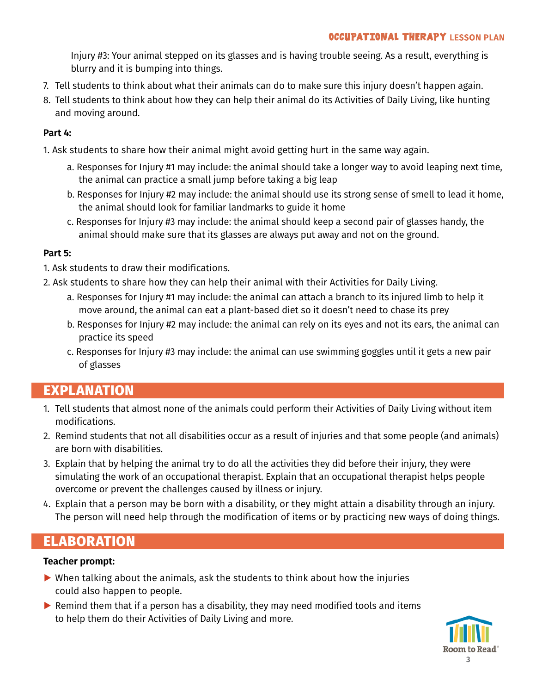Injury #3: Your animal stepped on its glasses and is having trouble seeing. As a result, everything is blurry and it is bumping into things.

- 7. Tell students to think about what their animals can do to make sure this injury doesn't happen again.
- 8. Tell students to think about how they can help their animal do its Activities of Daily Living, like hunting and moving around.

#### **Part 4:**

- 1. Ask students to share how their animal might avoid getting hurt in the same way again.
	- a. Responses for Injury #1 may include: the animal should take a longer way to avoid leaping next time, the animal can practice a small jump before taking a big leap
	- b. Responses for Injury #2 may include: the animal should use its strong sense of smell to lead it home, the animal should look for familiar landmarks to guide it home
	- c. Responses for Injury #3 may include: the animal should keep a second pair of glasses handy, the animal should make sure that its glasses are always put away and not on the ground. **g**

#### **Part 5:**

- 1. Ask students to draw their modifications.
- 2. Ask students to share how they can help their animal with their Activities for Daily Living.
	- a. Responses for Injury #1 may include: the animal can attach a branch to its injured limb to help it move around, the animal can eat a plant-based diet so it doesn't need to chase its prey
	- b. Responses for Injury #2 may include: the animal can rely on its eyes and not its ears, the animal can practice its speed
	- c. Responses for Injury #3 may include: the animal can use swimming goggles until it gets a new pair of glasses

# **EXPLANATION**

- 1. Tell students that almost none of the animals could perform their Activities of Daily Living without item modifications.
- 2. Remind students that not all disabilities occur as a result of injuries and that some people (and animals) are born with disabilities.
- 3. Explain that by helping the animal try to do all the activities they did before their injury, they were simulating the work of an occupational therapist. Explain that an occupational therapist helps people overcome or prevent the challenges caused by illness or injury.
- 4. Explain that a person may be born with a disability, or they might attain a disability through an injury. The person will need help through the modification of items or by practicing new ways of doing things.

# **ELABORATION**

#### **Teacher prompt:**

- **▶** When talking about the animals, ask the students to think about how the injuries could also happen to people.
- **▶** Remind them that if a person has a disability, they may need modified tools and items to help them do their Activities of Daily Living and more.